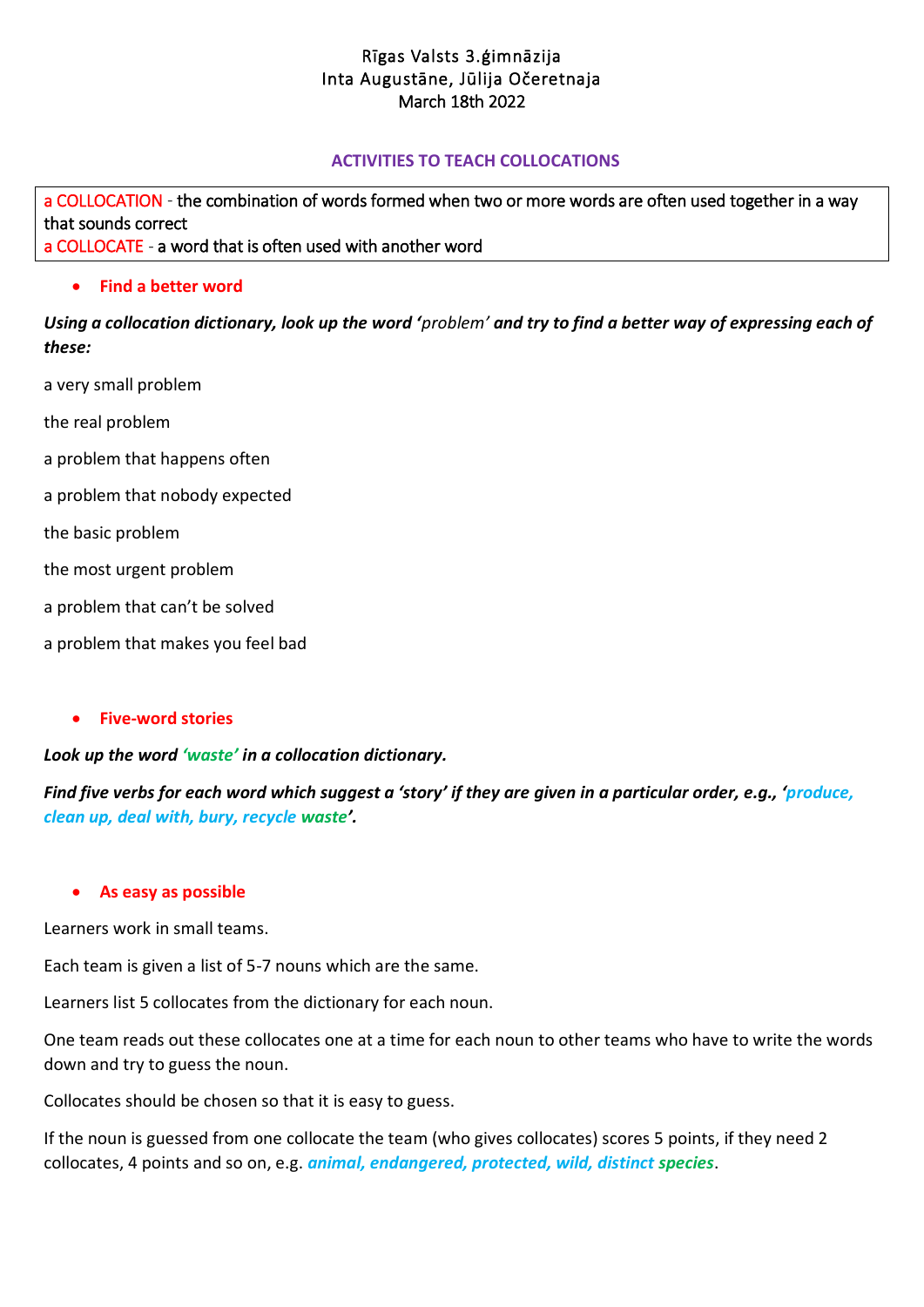# Rīgas Valsts 3.ģimnāzija Inta Augustāne, Jūlija Očeretnaja March 18th 2022

## **ACTIVITIES TO TEACH COLLOCATIONS**

a COLLOCATION - th[e combination](https://dictionary.cambridge.org/dictionary/english/combination) of words formed when two or more words are often used together in a way tha[t sounds](https://dictionary.cambridge.org/dictionary/english/sound) [correct](https://dictionary.cambridge.org/dictionary/english/correct)  a COLLOCATE - a [word](https://www.macmillandictionary.com/dictionary/british/word_1) that is often [used](https://www.macmillandictionary.com/dictionary/british/used) with another [word](https://www.macmillandictionary.com/dictionary/british/word_1) 

### **Find a better word**

*Using a collocation dictionary, look up the word 'problem' and try to find a better way of expressing each of these:*

a very small problem

the real problem

- a problem that happens often
- a problem that nobody expected

the basic problem

the most urgent problem

a problem that can't be solved

a problem that makes you feel bad

### **Five-word stories**

### *Look up the word 'waste' in a collocation dictionary.*

*Find five verbs for each word which suggest a 'story' if they are given in a particular order, e.g., 'produce, clean up, deal with, bury, recycle waste'.*

#### **As easy as possible**

Learners work in small teams.

Each team is given a list of 5-7 nouns which are the same.

Learners list 5 collocates from the dictionary for each noun.

One team reads out these collocates one at a time for each noun to other teams who have to write the words down and try to guess the noun.

Collocates should be chosen so that it is easy to guess.

If the noun is guessed from one collocate the team (who gives collocates) scores 5 points, if they need 2 collocates, 4 points and so on, e.g. *animal, endangered, protected, wild, distinct species*.